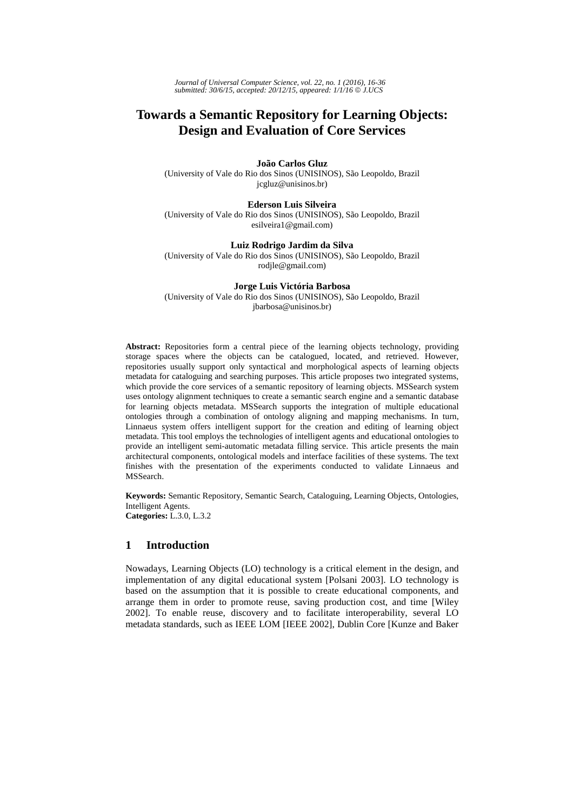# **Towards a Semantic Repository for Learning Objects: Design and Evaluation of Core Services**

**João Carlos Gluz** (University of Vale do Rio dos Sinos (UNISINOS), São Leopoldo, Brazil jcgluz@unisinos.br)

**Ederson Luis Silveira** (University of Vale do Rio dos Sinos (UNISINOS), São Leopoldo, Brazil esilveira1@gmail.com)

**Luiz Rodrigo Jardim da Silva** (University of Vale do Rio dos Sinos (UNISINOS), São Leopoldo, Brazil rodjle@gmail.com)

**Jorge Luis Victória Barbosa**  (University of Vale do Rio dos Sinos (UNISINOS), São Leopoldo, Brazil jbarbosa@unisinos.br)

**Abstract:** Repositories form a central piece of the learning objects technology, providing storage spaces where the objects can be catalogued, located, and retrieved. However, repositories usually support only syntactical and morphological aspects of learning objects metadata for cataloguing and searching purposes. This article proposes two integrated systems, which provide the core services of a semantic repository of learning objects. MSSearch system uses ontology alignment techniques to create a semantic search engine and a semantic database for learning objects metadata. MSSearch supports the integration of multiple educational ontologies through a combination of ontology aligning and mapping mechanisms. In turn, Linnaeus system offers intelligent support for the creation and editing of learning object metadata. This tool employs the technologies of intelligent agents and educational ontologies to provide an intelligent semi-automatic metadata filling service. This article presents the main architectural components, ontological models and interface facilities of these systems. The text finishes with the presentation of the experiments conducted to validate Linnaeus and MSSearch.

**Keywords:** Semantic Repository, Semantic Search, Cataloguing, Learning Objects, Ontologies, Intelligent Agents. **Categories:** L.3.0, L.3.2

# **1 Introduction**

Nowadays, Learning Objects (LO) technology is a critical element in the design, and implementation of any digital educational system [Polsani 2003]. LO technology is based on the assumption that it is possible to create educational components, and arrange them in order to promote reuse, saving production cost, and time [Wiley 2002]. To enable reuse, discovery and to facilitate interoperability, several LO metadata standards, such as IEEE LOM [IEEE 2002], Dublin Core [Kunze and Baker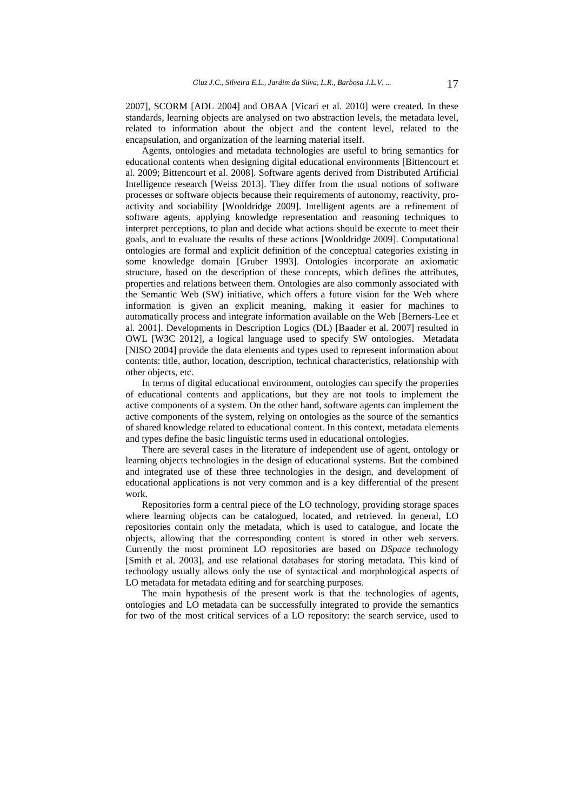2007], SCORM [ADL 2004] and OBAA [Vicari et al. 2010] were created. In these standards, learning objects are analysed on two abstraction levels, the metadata level, related to information about the object and the content level, related to the encapsulation, and organization of the learning material itself.

Agents, ontologies and metadata technologies are useful to bring semantics for educational contents when designing digital educational environments [Bittencourt et al. 2009; Bittencourt et al. 2008]. Software agents derived from Distributed Artificial Intelligence research [Weiss 2013]. They differ from the usual notions of software processes or software objects because their requirements of autonomy, reactivity, proactivity and sociability [Wooldridge 2009]. Intelligent agents are a refinement of software agents, applying knowledge representation and reasoning techniques to interpret perceptions, to plan and decide what actions should be execute to meet their goals, and to evaluate the results of these actions [Wooldridge 2009]. Computational ontologies are formal and explicit definition of the conceptual categories existing in some knowledge domain [Gruber 1993]. Ontologies incorporate an axiomatic structure, based on the description of these concepts, which defines the attributes, properties and relations between them. Ontologies are also commonly associated with the Semantic Web (SW) initiative, which offers a future vision for the Web where information is given an explicit meaning, making it easier for machines to automatically process and integrate information available on the Web [Berners-Lee et al. 2001]. Developments in Description Logics (DL) [Baader et al. 2007] resulted in OWL [W3C 2012], a logical language used to specify SW ontologies. Metadata [NISO 2004] provide the data elements and types used to represent information about contents: title, author, location, description, technical characteristics, relationship with other objects, etc.

In terms of digital educational environment, ontologies can specify the properties of educational contents and applications, but they are not tools to implement the active components of a system. On the other hand, software agents can implement the active components of the system, relying on ontologies as the source of the semantics of shared knowledge related to educational content. In this context, metadata elements and types define the basic linguistic terms used in educational ontologies.

There are several cases in the literature of independent use of agent, ontology or learning objects technologies in the design of educational systems. But the combined and integrated use of these three technologies in the design, and development of educational applications is not very common and is a key differential of the present work.

Repositories form a central piece of the LO technology, providing storage spaces where learning objects can be catalogued, located, and retrieved. In general, LO repositories contain only the metadata, which is used to catalogue, and locate the objects, allowing that the corresponding content is stored in other web servers. Currently the most prominent LO repositories are based on *DSpace* technology [Smith et al. 2003], and use relational databases for storing metadata. This kind of technology usually allows only the use of syntactical and morphological aspects of LO metadata for metadata editing and for searching purposes.

The main hypothesis of the present work is that the technologies of agents, ontologies and LO metadata can be successfully integrated to provide the semantics for two of the most critical services of a LO repository: the search service, used to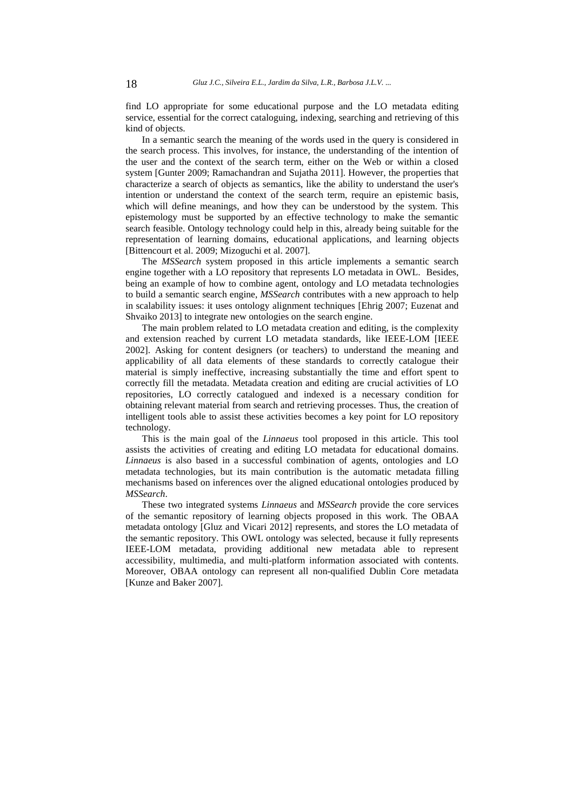find LO appropriate for some educational purpose and the LO metadata editing service, essential for the correct cataloguing, indexing, searching and retrieving of this kind of objects.

In a semantic search the meaning of the words used in the query is considered in the search process. This involves, for instance, the understanding of the intention of the user and the context of the search term, either on the Web or within a closed system [Gunter 2009; Ramachandran and Sujatha 2011]. However, the properties that characterize a search of objects as semantics, like the ability to understand the user's intention or understand the context of the search term, require an epistemic basis, which will define meanings, and how they can be understood by the system. This epistemology must be supported by an effective technology to make the semantic search feasible. Ontology technology could help in this, already being suitable for the representation of learning domains, educational applications, and learning objects [Bittencourt et al. 2009; Mizoguchi et al. 2007].

The *MSSearch* system proposed in this article implements a semantic search engine together with a LO repository that represents LO metadata in OWL. Besides, being an example of how to combine agent, ontology and LO metadata technologies to build a semantic search engine, *MSSearch* contributes with a new approach to help in scalability issues: it uses ontology alignment techniques [Ehrig 2007; Euzenat and Shvaiko 2013] to integrate new ontologies on the search engine.

The main problem related to LO metadata creation and editing, is the complexity and extension reached by current LO metadata standards, like IEEE-LOM [IEEE 2002]. Asking for content designers (or teachers) to understand the meaning and applicability of all data elements of these standards to correctly catalogue their material is simply ineffective, increasing substantially the time and effort spent to correctly fill the metadata. Metadata creation and editing are crucial activities of LO repositories, LO correctly catalogued and indexed is a necessary condition for obtaining relevant material from search and retrieving processes. Thus, the creation of intelligent tools able to assist these activities becomes a key point for LO repository technology.

This is the main goal of the *Linnaeus* tool proposed in this article. This tool assists the activities of creating and editing LO metadata for educational domains. *Linnaeus* is also based in a successful combination of agents, ontologies and LO metadata technologies, but its main contribution is the automatic metadata filling mechanisms based on inferences over the aligned educational ontologies produced by *MSSearch*.

These two integrated systems *Linnaeus* and *MSSearch* provide the core services of the semantic repository of learning objects proposed in this work. The OBAA metadata ontology [Gluz and Vicari 2012] represents, and stores the LO metadata of the semantic repository. This OWL ontology was selected, because it fully represents IEEE-LOM metadata, providing additional new metadata able to represent accessibility, multimedia, and multi-platform information associated with contents. Moreover, OBAA ontology can represent all non-qualified Dublin Core metadata [Kunze and Baker 2007].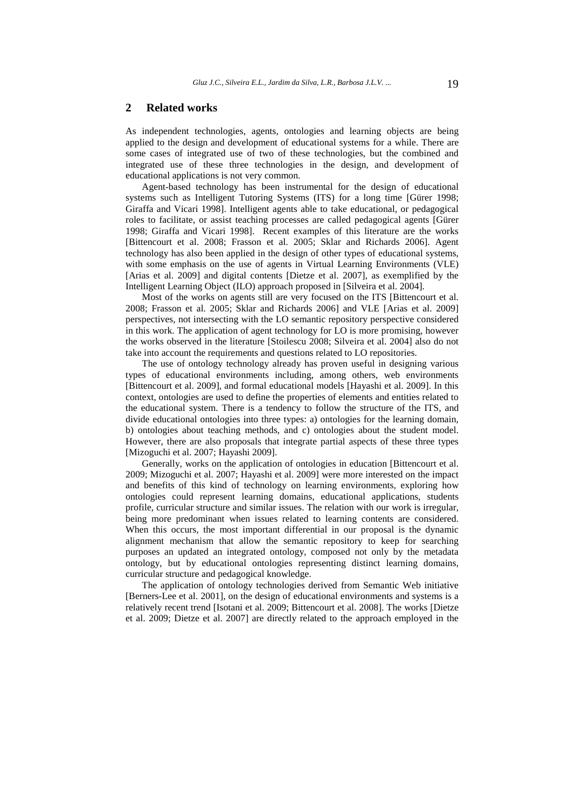## **2 Related works**

As independent technologies, agents, ontologies and learning objects are being applied to the design and development of educational systems for a while. There are some cases of integrated use of two of these technologies, but the combined and integrated use of these three technologies in the design, and development of educational applications is not very common.

Agent-based technology has been instrumental for the design of educational systems such as Intelligent Tutoring Systems (ITS) for a long time [Gürer 1998; Giraffa and Vicari 1998]. Intelligent agents able to take educational, or pedagogical roles to facilitate, or assist teaching processes are called pedagogical agents [Gürer 1998; Giraffa and Vicari 1998]. Recent examples of this literature are the works [Bittencourt et al. 2008; Frasson et al. 2005; Sklar and Richards 2006]. Agent technology has also been applied in the design of other types of educational systems, with some emphasis on the use of agents in Virtual Learning Environments (VLE) [Arias et al. 2009] and digital contents [Dietze et al. 2007], as exemplified by the Intelligent Learning Object (ILO) approach proposed in [Silveira et al. 2004].

Most of the works on agents still are very focused on the ITS [Bittencourt et al. 2008; Frasson et al. 2005; Sklar and Richards 2006] and VLE [Arias et al. 2009] perspectives, not intersecting with the LO semantic repository perspective considered in this work. The application of agent technology for LO is more promising, however the works observed in the literature [Stoilescu 2008; Silveira et al. 2004] also do not take into account the requirements and questions related to LO repositories.

The use of ontology technology already has proven useful in designing various types of educational environments including, among others, web environments [Bittencourt et al. 2009], and formal educational models [Hayashi et al. 2009]. In this context, ontologies are used to define the properties of elements and entities related to the educational system. There is a tendency to follow the structure of the ITS, and divide educational ontologies into three types: a) ontologies for the learning domain, b) ontologies about teaching methods, and c) ontologies about the student model. However, there are also proposals that integrate partial aspects of these three types [Mizoguchi et al. 2007; Hayashi 2009].

Generally, works on the application of ontologies in education [Bittencourt et al. 2009; Mizoguchi et al. 2007; Hayashi et al. 2009] were more interested on the impact and benefits of this kind of technology on learning environments, exploring how ontologies could represent learning domains, educational applications, students profile, curricular structure and similar issues. The relation with our work is irregular, being more predominant when issues related to learning contents are considered. When this occurs, the most important differential in our proposal is the dynamic alignment mechanism that allow the semantic repository to keep for searching purposes an updated an integrated ontology, composed not only by the metadata ontology, but by educational ontologies representing distinct learning domains, curricular structure and pedagogical knowledge.

The application of ontology technologies derived from Semantic Web initiative [Berners-Lee et al. 2001], on the design of educational environments and systems is a relatively recent trend [Isotani et al. 2009; Bittencourt et al. 2008]. The works [Dietze et al. 2009; Dietze et al. 2007] are directly related to the approach employed in the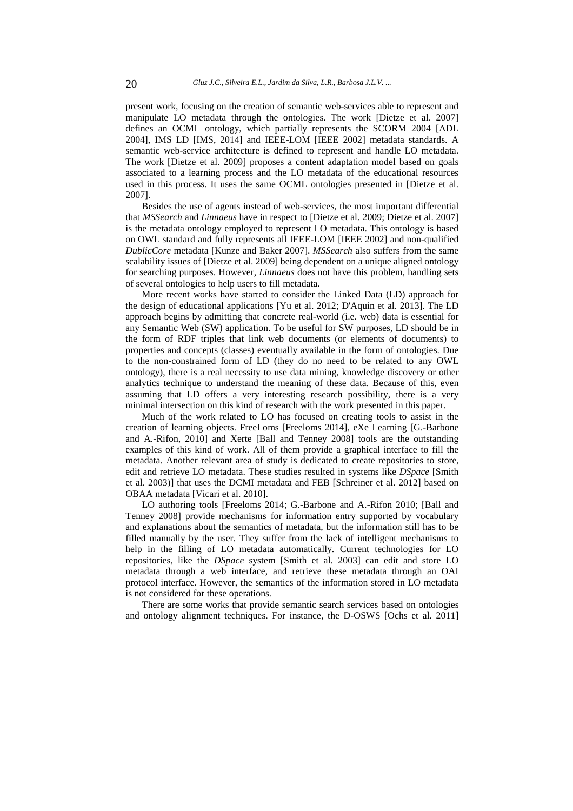present work, focusing on the creation of semantic web-services able to represent and manipulate LO metadata through the ontologies. The work [Dietze et al. 2007] defines an OCML ontology, which partially represents the SCORM 2004 [ADL 2004], IMS LD [IMS, 2014] and IEEE-LOM [IEEE 2002] metadata standards. A semantic web-service architecture is defined to represent and handle LO metadata. The work [Dietze et al. 2009] proposes a content adaptation model based on goals associated to a learning process and the LO metadata of the educational resources used in this process. It uses the same OCML ontologies presented in [Dietze et al. 2007].

Besides the use of agents instead of web-services, the most important differential that *MSSearch* and *Linnaeus* have in respect to [Dietze et al. 2009; Dietze et al. 2007] is the metadata ontology employed to represent LO metadata. This ontology is based on OWL standard and fully represents all IEEE-LOM [IEEE 2002] and non-qualified *DublicCore* metadata [Kunze and Baker 2007]. *MSSearch* also suffers from the same scalability issues of [Dietze et al. 2009] being dependent on a unique aligned ontology for searching purposes. However, *Linnaeus* does not have this problem, handling sets of several ontologies to help users to fill metadata.

More recent works have started to consider the Linked Data (LD) approach for the design of educational applications [Yu et al. 2012; D'Aquin et al. 2013]. The LD approach begins by admitting that concrete real-world (i.e. web) data is essential for any Semantic Web (SW) application. To be useful for SW purposes, LD should be in the form of RDF triples that link web documents (or elements of documents) to properties and concepts (classes) eventually available in the form of ontologies. Due to the non-constrained form of LD (they do no need to be related to any OWL ontology), there is a real necessity to use data mining, knowledge discovery or other analytics technique to understand the meaning of these data. Because of this, even assuming that LD offers a very interesting research possibility, there is a very minimal intersection on this kind of research with the work presented in this paper.

Much of the work related to LO has focused on creating tools to assist in the creation of learning objects. FreeLoms [Freeloms 2014], eXe Learning [G.-Barbone and A.-Rifon, 2010] and Xerte [Ball and Tenney 2008] tools are the outstanding examples of this kind of work. All of them provide a graphical interface to fill the metadata. Another relevant area of study is dedicated to create repositories to store, edit and retrieve LO metadata. These studies resulted in systems like *DSpace* [Smith et al. 2003)] that uses the DCMI metadata and FEB [Schreiner et al. 2012] based on OBAA metadata [Vicari et al. 2010].

LO authoring tools [Freeloms 2014; G.-Barbone and A.-Rifon 2010; [Ball and Tenney 2008] provide mechanisms for information entry supported by vocabulary and explanations about the semantics of metadata, but the information still has to be filled manually by the user. They suffer from the lack of intelligent mechanisms to help in the filling of LO metadata automatically. Current technologies for LO repositories, like the *DSpace* system [Smith et al. 2003] can edit and store LO metadata through a web interface, and retrieve these metadata through an OAI protocol interface. However, the semantics of the information stored in LO metadata is not considered for these operations.

There are some works that provide semantic search services based on ontologies and ontology alignment techniques. For instance, the D-OSWS [Ochs et al. 2011]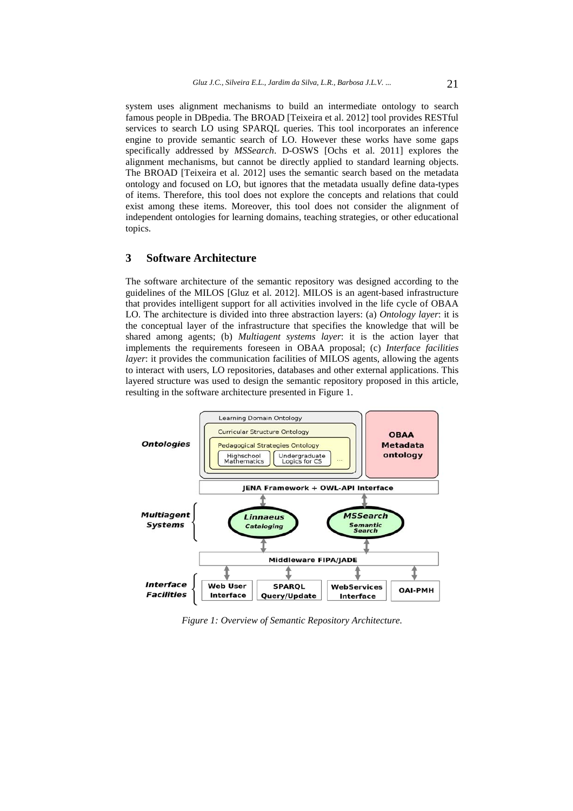system uses alignment mechanisms to build an intermediate ontology to search famous people in DBpedia. The BROAD [Teixeira et al. 2012] tool provides RESTful services to search LO using SPARQL queries. This tool incorporates an inference engine to provide semantic search of LO. However these works have some gaps specifically addressed by *MSSearch*. D-OSWS [Ochs et al. 2011] explores the alignment mechanisms, but cannot be directly applied to standard learning objects. The BROAD [Teixeira et al. 2012] uses the semantic search based on the metadata ontology and focused on LO, but ignores that the metadata usually define data-types of items. Therefore, this tool does not explore the concepts and relations that could exist among these items. Moreover, this tool does not consider the alignment of independent ontologies for learning domains, teaching strategies, or other educational topics.

# **3 Software Architecture**

The software architecture of the semantic repository was designed according to the guidelines of the MILOS [Gluz et al. 2012]. MILOS is an agent-based infrastructure that provides intelligent support for all activities involved in the life cycle of OBAA LO. The architecture is divided into three abstraction layers: (a) *Ontology layer*: it is the conceptual layer of the infrastructure that specifies the knowledge that will be shared among agents; (b) *Multiagent systems layer*: it is the action layer that implements the requirements foreseen in OBAA proposal; (c) *Interface facilities layer*: it provides the communication facilities of MILOS agents, allowing the agents to interact with users, LO repositories, databases and other external applications. This layered structure was used to design the semantic repository proposed in this article, resulting in the software architecture presented in Figure 1.



*Figure 1: Overview of Semantic Repository Architecture.*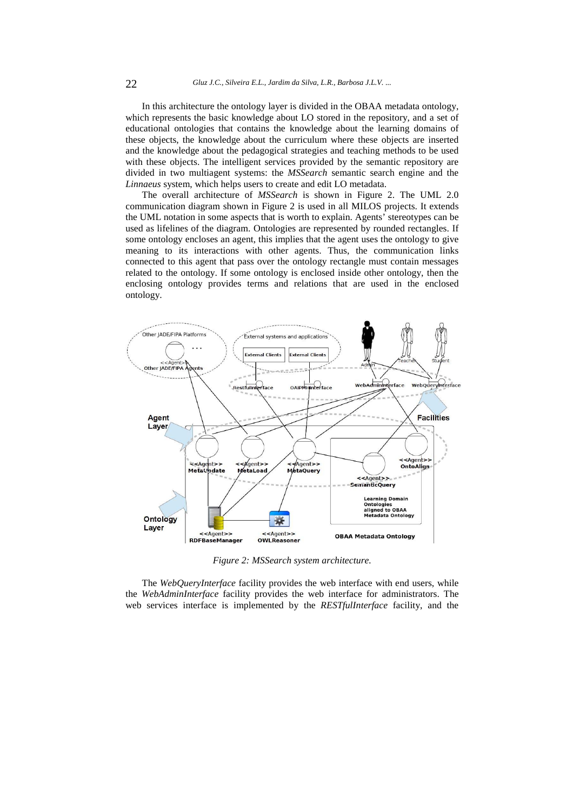In this architecture the ontology layer is divided in the OBAA metadata ontology, which represents the basic knowledge about LO stored in the repository, and a set of educational ontologies that contains the knowledge about the learning domains of these objects, the knowledge about the curriculum where these objects are inserted and the knowledge about the pedagogical strategies and teaching methods to be used with these objects. The intelligent services provided by the semantic repository are divided in two multiagent systems: the *MSSearch* semantic search engine and the *Linnaeus* system, which helps users to create and edit LO metadata.

The overall architecture of *MSSearch* is shown in Figure 2. The UML 2.0 communication diagram shown in Figure 2 is used in all MILOS projects. It extends the UML notation in some aspects that is worth to explain. Agents' stereotypes can be used as lifelines of the diagram. Ontologies are represented by rounded rectangles. If some ontology encloses an agent, this implies that the agent uses the ontology to give meaning to its interactions with other agents. Thus, the communication links connected to this agent that pass over the ontology rectangle must contain messages related to the ontology. If some ontology is enclosed inside other ontology, then the enclosing ontology provides terms and relations that are used in the enclosed ontology.



*Figure 2: MSSearch system architecture.*

The *WebQueryInterface* facility provides the web interface with end users, while the *WebAdminInterface* facility provides the web interface for administrators. The web services interface is implemented by the *RESTfulInterface* facility, and the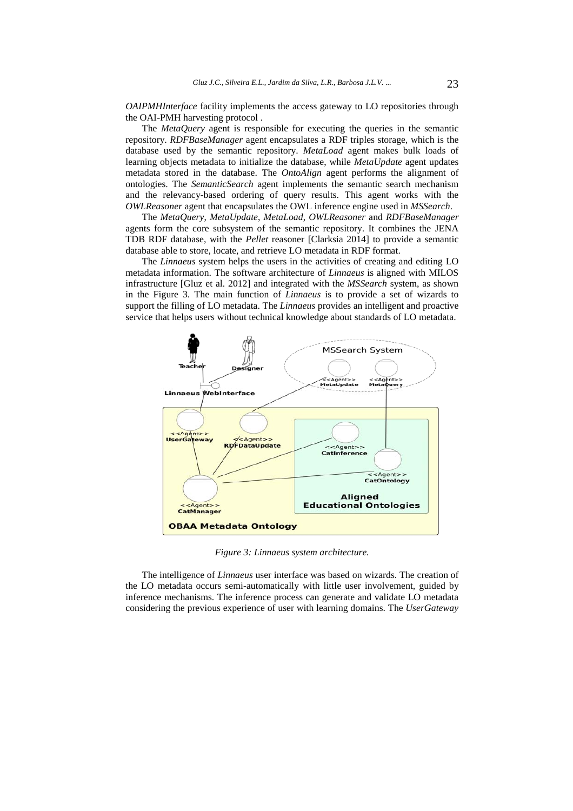*OAIPMHInterface* facility implements the access gateway to LO repositories through the OAI-PMH harvesting protocol .

The *MetaQuery* agent is responsible for executing the queries in the semantic repository. *RDFBaseManager* agent encapsulates a RDF triples storage, which is the database used by the semantic repository. *MetaLoad* agent makes bulk loads of learning objects metadata to initialize the database, while *MetaUpdate* agent updates metadata stored in the database. The *OntoAlign* agent performs the alignment of ontologies. The *SemanticSearch* agent implements the semantic search mechanism and the relevancy-based ordering of query results. This agent works with the *OWLReasoner* agent that encapsulates the OWL inference engine used in *MSSearch*.

The *MetaQuery*, *MetaUpdate*, *MetaLoad*, *OWLReasoner* and *RDFBaseManager* agents form the core subsystem of the semantic repository. It combines the JENA TDB RDF database, with the *Pellet* reasoner [Clarksia 2014] to provide a semantic database able to store, locate, and retrieve LO metadata in RDF format.

The *Linnaeus* system helps the users in the activities of creating and editing LO metadata information. The software architecture of *Linnaeus* is aligned with MILOS infrastructure [Gluz et al. 2012] and integrated with the *MSSearch* system, as shown in the Figure 3. The main function of *Linnaeus* is to provide a set of wizards to support the filling of LO metadata. The *Linnaeus* provides an intelligent and proactive service that helps users without technical knowledge about standards of LO metadata.



*Figure 3: Linnaeus system architecture.*

The intelligence of *Linnaeus* user interface was based on wizards. The creation of the LO metadata occurs semi-automatically with little user involvement, guided by inference mechanisms. The inference process can generate and validate LO metadata considering the previous experience of user with learning domains. The *UserGateway*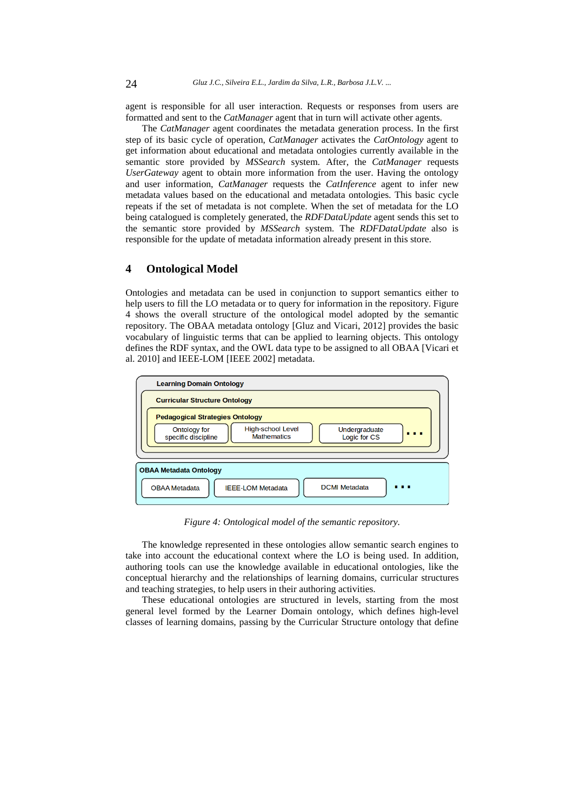agent is responsible for all user interaction. Requests or responses from users are formatted and sent to the *CatManager* agent that in turn will activate other agents.

The *CatManager* agent coordinates the metadata generation process. In the first step of its basic cycle of operation, *CatManager* activates the *CatOntology* agent to get information about educational and metadata ontologies currently available in the semantic store provided by *MSSearch* system. After, the *CatManager* requests *UserGateway* agent to obtain more information from the user. Having the ontology and user information, *CatManager* requests the *CatInference* agent to infer new metadata values based on the educational and metadata ontologies. This basic cycle repeats if the set of metadata is not complete. When the set of metadata for the LO being catalogued is completely generated, the *RDFDataUpdate* agent sends this set to the semantic store provided by *MSSearch* system. The *RDFDataUpdate* also is responsible for the update of metadata information already present in this store.

# **4 Ontological Model**

Ontologies and metadata can be used in conjunction to support semantics either to help users to fill the LO metadata or to query for information in the repository. Figure 4 shows the overall structure of the ontological model adopted by the semantic repository. The OBAA metadata ontology [Gluz and Vicari, 2012] provides the basic vocabulary of linguistic terms that can be applied to learning objects. This ontology defines the RDF syntax, and the OWL data type to be assigned to all OBAA [Vicari et al. 2010] and IEEE-LOM [IEEE 2002] metadata.



*Figure 4: Ontological model of the semantic repository.*

The knowledge represented in these ontologies allow semantic search engines to take into account the educational context where the LO is being used. In addition, authoring tools can use the knowledge available in educational ontologies, like the conceptual hierarchy and the relationships of learning domains, curricular structures and teaching strategies, to help users in their authoring activities.

These educational ontologies are structured in levels, starting from the most general level formed by the Learner Domain ontology, which defines high-level classes of learning domains, passing by the Curricular Structure ontology that define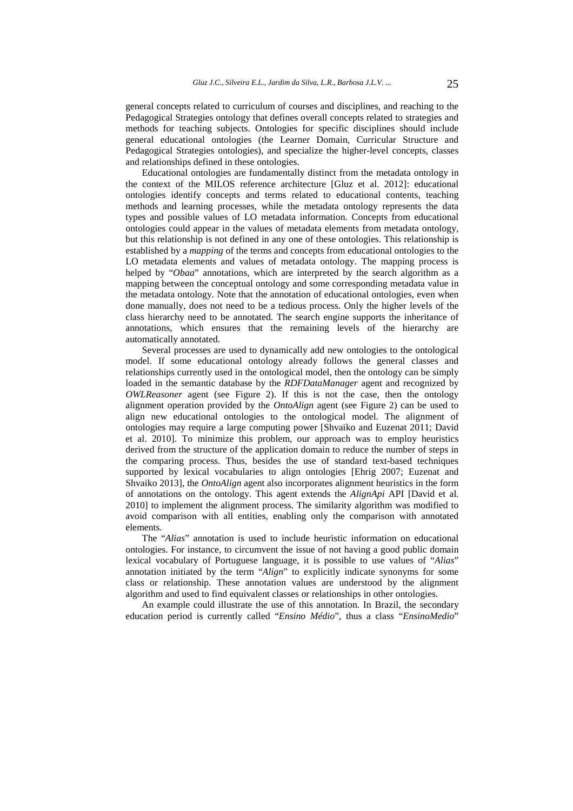general concepts related to curriculum of courses and disciplines, and reaching to the Pedagogical Strategies ontology that defines overall concepts related to strategies and methods for teaching subjects. Ontologies for specific disciplines should include general educational ontologies (the Learner Domain, Curricular Structure and Pedagogical Strategies ontologies), and specialize the higher-level concepts, classes and relationships defined in these ontologies.

Educational ontologies are fundamentally distinct from the metadata ontology in the context of the MILOS reference architecture [Gluz et al. 2012]: educational ontologies identify concepts and terms related to educational contents, teaching methods and learning processes, while the metadata ontology represents the data types and possible values of LO metadata information. Concepts from educational ontologies could appear in the values of metadata elements from metadata ontology, but this relationship is not defined in any one of these ontologies. This relationship is established by a *mapping* of the terms and concepts from educational ontologies to the LO metadata elements and values of metadata ontology. The mapping process is helped by "*Obaa*" annotations, which are interpreted by the search algorithm as a mapping between the conceptual ontology and some corresponding metadata value in the metadata ontology. Note that the annotation of educational ontologies, even when done manually, does not need to be a tedious process. Only the higher levels of the class hierarchy need to be annotated. The search engine supports the inheritance of annotations, which ensures that the remaining levels of the hierarchy are automatically annotated.

Several processes are used to dynamically add new ontologies to the ontological model. If some educational ontology already follows the general classes and relationships currently used in the ontological model, then the ontology can be simply loaded in the semantic database by the *RDFDataManager* agent and recognized by *OWLReasoner* agent (see Figure 2). If this is not the case, then the ontology alignment operation provided by the *OntoAlign* agent (see Figure 2) can be used to align new educational ontologies to the ontological model. The alignment of ontologies may require a large computing power [Shvaiko and Euzenat 2011; David et al. 2010]. To minimize this problem, our approach was to employ heuristics derived from the structure of the application domain to reduce the number of steps in the comparing process. Thus, besides the use of standard text-based techniques supported by lexical vocabularies to align ontologies [Ehrig 2007; Euzenat and Shvaiko 2013], the *OntoAlign* agent also incorporates alignment heuristics in the form of annotations on the ontology. This agent extends the *AlignApi* API [David et al. 2010] to implement the alignment process. The similarity algorithm was modified to avoid comparison with all entities, enabling only the comparison with annotated elements.

The "*Alias*" annotation is used to include heuristic information on educational ontologies. For instance, to circumvent the issue of not having a good public domain lexical vocabulary of Portuguese language, it is possible to use values of "*Alias*" annotation initiated by the term "*Align*" to explicitly indicate synonyms for some class or relationship. These annotation values are understood by the alignment algorithm and used to find equivalent classes or relationships in other ontologies.

An example could illustrate the use of this annotation. In Brazil, the secondary education period is currently called "*Ensino Médio*", thus a class "*EnsinoMedio*"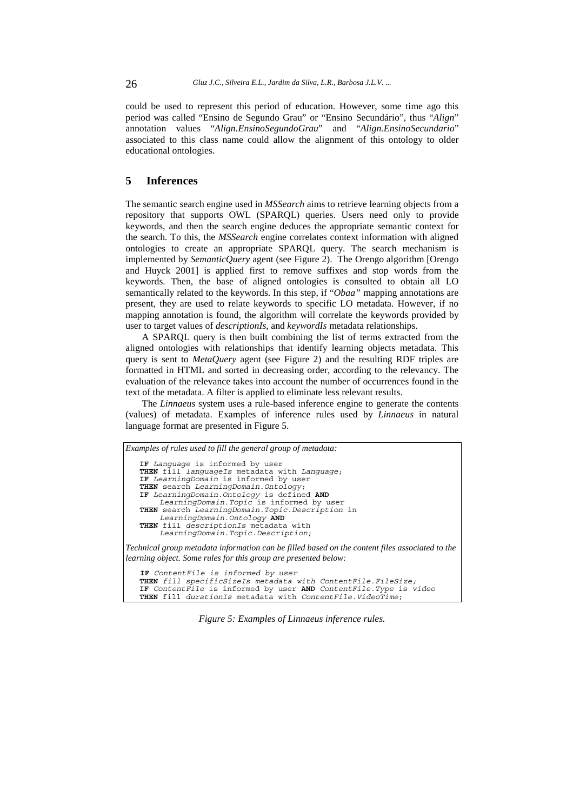could be used to represent this period of education. However, some time ago this period was called "Ensino de Segundo Grau" or "Ensino Secundário", thus "*Align*" annotation values "*Align.EnsinoSegundoGrau*" and "*Align.EnsinoSecundario*" associated to this class name could allow the alignment of this ontology to older educational ontologies.

# **5 Inferences**

The semantic search engine used in *MSSearch* aims to retrieve learning objects from a repository that supports OWL (SPARQL) queries. Users need only to provide keywords, and then the search engine deduces the appropriate semantic context for the search. To this, the *MSSearch* engine correlates context information with aligned ontologies to create an appropriate SPARQL query. The search mechanism is implemented by *SemanticQuery* agent (see Figure 2). The Orengo algorithm [Orengo and Huyck 2001] is applied first to remove suffixes and stop words from the keywords. Then, the base of aligned ontologies is consulted to obtain all LO semantically related to the keywords. In this step, if "*Obaa"* mapping annotations are present, they are used to relate keywords to specific LO metadata. However, if no mapping annotation is found, the algorithm will correlate the keywords provided by user to target values of *descriptionIs*, and *keywordIs* metadata relationships.

A SPARQL query is then built combining the list of terms extracted from the aligned ontologies with relationships that identify learning objects metadata. This query is sent to *MetaQuery* agent (see Figure 2) and the resulting RDF triples are formatted in HTML and sorted in decreasing order, according to the relevancy. The evaluation of the relevance takes into account the number of occurrences found in the text of the metadata. A filter is applied to eliminate less relevant results.

The *Linnaeus* system uses a rule-based inference engine to generate the contents (values) of metadata. Examples of inference rules used by *Linnaeus* in natural language format are presented in Figure 5.

| Examples of rules used to fill the general group of metadata:                                                                                                      |
|--------------------------------------------------------------------------------------------------------------------------------------------------------------------|
| IF Language is informed by user                                                                                                                                    |
| <b>THEN</b> fill languageIs metadata with Language;                                                                                                                |
| IF LearningDomain is informed by user                                                                                                                              |
| THEN search LearningDomain.Ontology;                                                                                                                               |
| IF LearningDomain. Ontology is defined AND                                                                                                                         |
| LearningDomain. Topic is informed by user                                                                                                                          |
| THEN search LearningDomain. Topic. Description in                                                                                                                  |
| LearningDomain.Ontology AND                                                                                                                                        |
| THEN fill descriptionIs metadata with                                                                                                                              |
| LearningDomain.Topic.Description;                                                                                                                                  |
| Technical group metadata information can be filled based on the content files associated to the<br>learning object. Some rules for this group are presented below: |
| IF ContentFile is informed by user                                                                                                                                 |
| THEN fill specificSizeIs metadata with ContentFile.FileSize;                                                                                                       |
| IF ContentFile is informed by user AND ContentFile. Type is video                                                                                                  |
| <b>THEN</b> fill durationIs metadata with ContentFile. VideoTime;                                                                                                  |

*Figure 5: Examples of Linnaeus inference rules.*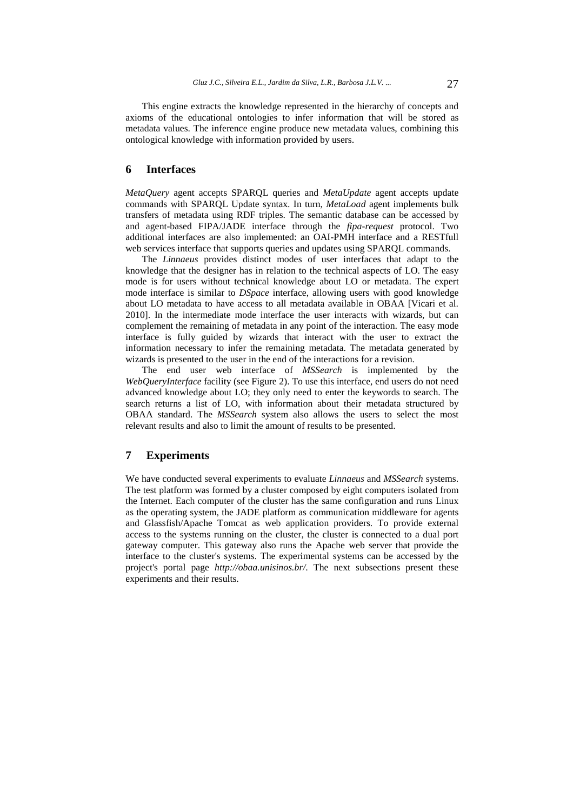This engine extracts the knowledge represented in the hierarchy of concepts and axioms of the educational ontologies to infer information that will be stored as metadata values. The inference engine produce new metadata values, combining this ontological knowledge with information provided by users.

## **6 Interfaces**

*MetaQuery* agent accepts SPARQL queries and *MetaUpdate* agent accepts update commands with SPARQL Update syntax. In turn, *MetaLoad* agent implements bulk transfers of metadata using RDF triples. The semantic database can be accessed by and agent-based FIPA/JADE interface through the *fipa-request* protocol. Two additional interfaces are also implemented: an OAI-PMH interface and a RESTfull web services interface that supports queries and updates using SPARQL commands.

The *Linnaeus* provides distinct modes of user interfaces that adapt to the knowledge that the designer has in relation to the technical aspects of LO. The easy mode is for users without technical knowledge about LO or metadata. The expert mode interface is similar to *DSpace* interface, allowing users with good knowledge about LO metadata to have access to all metadata available in OBAA [Vicari et al. 2010]. In the intermediate mode interface the user interacts with wizards, but can complement the remaining of metadata in any point of the interaction. The easy mode interface is fully guided by wizards that interact with the user to extract the information necessary to infer the remaining metadata. The metadata generated by wizards is presented to the user in the end of the interactions for a revision.

The end user web interface of *MSSearch* is implemented by the *WebQueryInterface* facility (see Figure 2). To use this interface, end users do not need advanced knowledge about LO; they only need to enter the keywords to search. The search returns a list of LO, with information about their metadata structured by OBAA standard. The *MSSearch* system also allows the users to select the most relevant results and also to limit the amount of results to be presented.

## **7 Experiments**

We have conducted several experiments to evaluate *Linnaeus* and *MSSearch* systems. The test platform was formed by a cluster composed by eight computers isolated from the Internet. Each computer of the cluster has the same configuration and runs Linux as the operating system, the JADE platform as communication middleware for agents and Glassfish/Apache Tomcat as web application providers. To provide external access to the systems running on the cluster, the cluster is connected to a dual port gateway computer. This gateway also runs the Apache web server that provide the interface to the cluster's systems. The experimental systems can be accessed by the project's portal page *http://obaa.unisinos.br/*. The next subsections present these experiments and their results.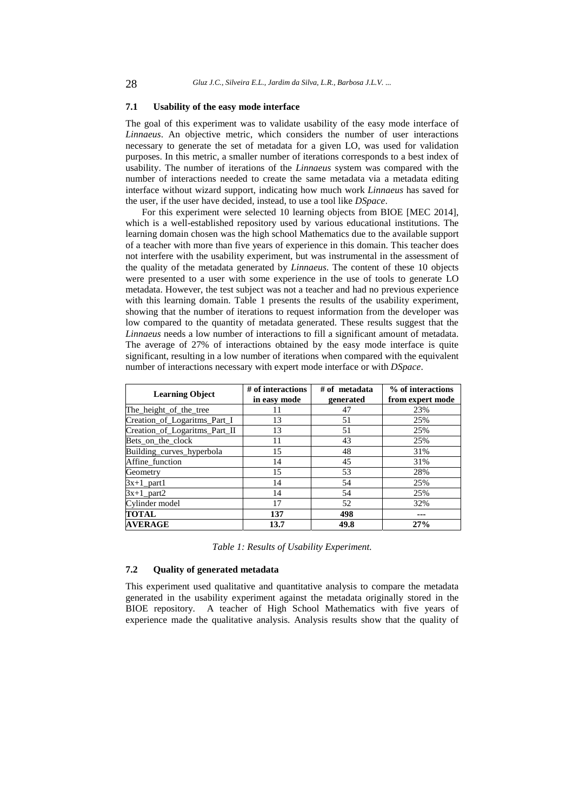#### **7.1 Usability of the easy mode interface**

The goal of this experiment was to validate usability of the easy mode interface of *Linnaeus*. An objective metric, which considers the number of user interactions necessary to generate the set of metadata for a given LO, was used for validation purposes. In this metric, a smaller number of iterations corresponds to a best index of usability. The number of iterations of the *Linnaeus* system was compared with the number of interactions needed to create the same metadata via a metadata editing interface without wizard support, indicating how much work *Linnaeus* has saved for the user, if the user have decided, instead, to use a tool like *DSpace*.

For this experiment were selected 10 learning objects from BIOE [MEC 2014], which is a well-established repository used by various educational institutions. The learning domain chosen was the high school Mathematics due to the available support of a teacher with more than five years of experience in this domain. This teacher does not interfere with the usability experiment, but was instrumental in the assessment of the quality of the metadata generated by *Linnaeus*. The content of these 10 objects were presented to a user with some experience in the use of tools to generate LO metadata. However, the test subject was not a teacher and had no previous experience with this learning domain. Table 1 presents the results of the usability experiment, showing that the number of iterations to request information from the developer was low compared to the quantity of metadata generated. These results suggest that the *Linnaeus* needs a low number of interactions to fill a significant amount of metadata. The average of 27% of interactions obtained by the easy mode interface is quite significant, resulting in a low number of iterations when compared with the equivalent number of interactions necessary with expert mode interface or with *DSpace*.

| <b>Learning Object</b>        | # of interactions<br>in easy mode | $#$ of metadata<br>generated | % of interactions<br>from expert mode |
|-------------------------------|-----------------------------------|------------------------------|---------------------------------------|
| The_height_of_the_tree        | 11                                | 47                           | 23%                                   |
| Creation_of_Logaritms_Part_I  | 13                                | 51                           | 25%                                   |
| Creation_of_Logaritms_Part_II | 13                                | 51                           | 25%                                   |
| Bets_on_the_clock             | 11                                | 43                           | 25%                                   |
| Building_curves_hyperbola     | 15                                | 48                           | 31%                                   |
| Affine function               | 14                                | 45                           | 31%                                   |
| Geometry                      | 15                                | 53                           | 28%                                   |
| $3x+1$ part1                  | 14                                | 54                           | 25%                                   |
| $3x+1$ part2                  | 14                                | 54                           | 25%                                   |
| Cylinder model                | 17                                | 52                           | 32%                                   |
| <b>TOTAL</b>                  | 137                               | 498                          | ---                                   |
| <b>AVERAGE</b>                | 13.7                              | 49.8                         | 27%                                   |

*Table 1: Results of Usability Experiment.*

#### **7.2 Quality of generated metadata**

This experiment used qualitative and quantitative analysis to compare the metadata generated in the usability experiment against the metadata originally stored in the BIOE repository. A teacher of High School Mathematics with five years of experience made the qualitative analysis. Analysis results show that the quality of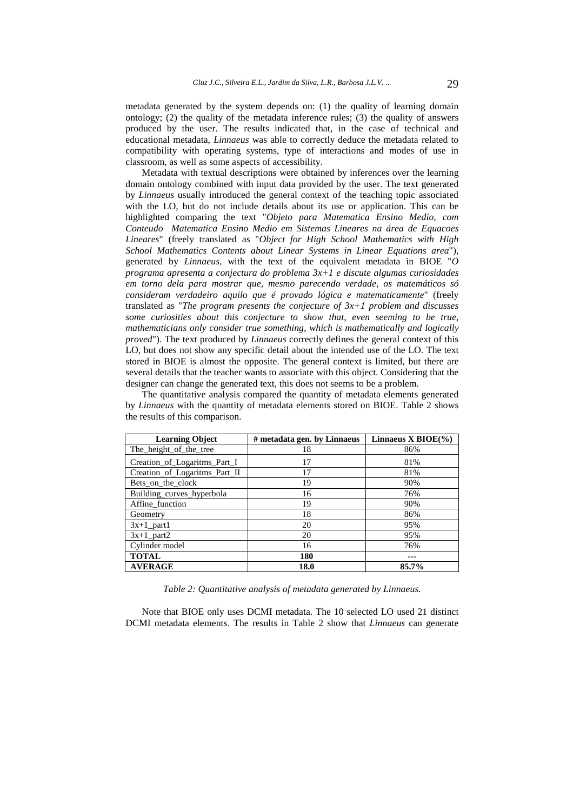metadata generated by the system depends on: (1) the quality of learning domain ontology; (2) the quality of the metadata inference rules; (3) the quality of answers produced by the user. The results indicated that, in the case of technical and educational metadata, *Linnaeus* was able to correctly deduce the metadata related to compatibility with operating systems, type of interactions and modes of use in classroom, as well as some aspects of accessibility.

Metadata with textual descriptions were obtained by inferences over the learning domain ontology combined with input data provided by the user. The text generated by *Linnaeus* usually introduced the general context of the teaching topic associated with the LO, but do not include details about its use or application. This can be highlighted comparing the text "*Objeto para Matematica Ensino Medio, com Conteudo Matematica Ensino Medio em Sistemas Lineares na área de Equacoes Lineares*" (freely translated as "*Object for High School Mathematics with High School Mathematics Contents about Linear Systems in Linear Equations area*"), generated by *Linnaeus*, with the text of the equivalent metadata in BIOE "*O programa apresenta a conjectura do problema 3x+1 e discute algumas curiosidades em torno dela para mostrar que, mesmo parecendo verdade, os matemáticos só consideram verdadeiro aquilo que é provado lógica e matematicamente*" (freely translated as "*The program presents the conjecture of 3x+1 problem and discusses some curiosities about this conjecture to show that, even seeming to be true, mathematicians only consider true something, which is mathematically and logically proved*"). The text produced by *Linnaeus* correctly defines the general context of this LO, but does not show any specific detail about the intended use of the LO. The text stored in BIOE is almost the opposite. The general context is limited, but there are several details that the teacher wants to associate with this object. Considering that the designer can change the generated text, this does not seems to be a problem.

The quantitative analysis compared the quantity of metadata elements generated by *Linnaeus* with the quantity of metadata elements stored on BIOE. Table 2 shows the results of this comparison.

| <b>Learning Object</b>        | # metadata gen. by Linnaeus | Linnaeus X BIOE $(\% )$ |  |
|-------------------------------|-----------------------------|-------------------------|--|
| The height of the tree        | 18                          | 86%                     |  |
| Creation_of_Logaritms_Part_I  | 17                          | 81%                     |  |
| Creation_of_Logaritms_Part_II | 17                          | 81%                     |  |
| Bets on the clock             | 19                          | 90%                     |  |
| Building_curves_hyperbola     | 16                          | 76%                     |  |
| Affine_function               | 19                          | 90%                     |  |
| Geometry                      | 18                          | 86%                     |  |
| $3x+1$ part1                  | 20                          | 95%                     |  |
| $3x+1$ part2                  | 20                          | 95%                     |  |
| Cylinder model                | 16                          | 76%                     |  |
| <b>TOTAL</b>                  | 180                         | ---                     |  |
| <b>AVERAGE</b>                | 18.0                        | 85.7%                   |  |

*Table 2: Quantitative analysis of metadata generated by Linnaeus.*

Note that BIOE only uses DCMI metadata. The 10 selected LO used 21 distinct DCMI metadata elements. The results in Table 2 show that *Linnaeus* can generate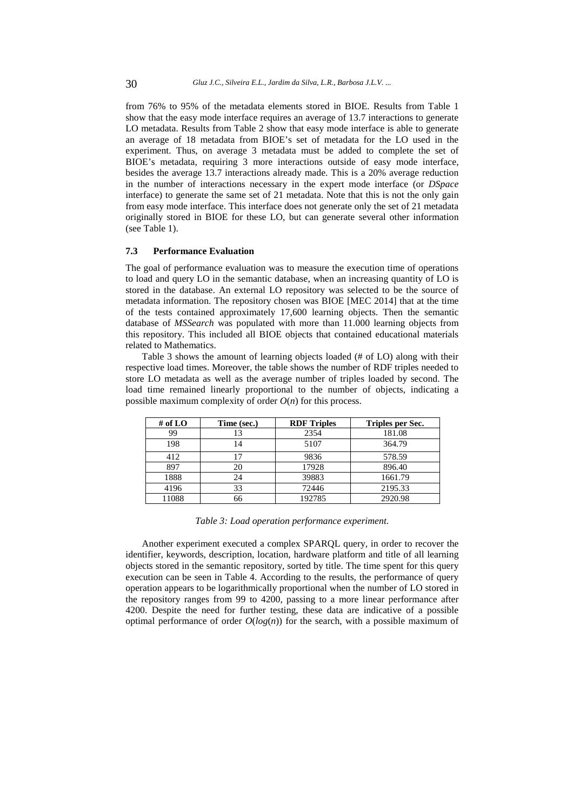from 76% to 95% of the metadata elements stored in BIOE. Results from Table 1 show that the easy mode interface requires an average of 13.7 interactions to generate LO metadata. Results from Table 2 show that easy mode interface is able to generate an average of 18 metadata from BIOE's set of metadata for the LO used in the experiment. Thus, on average 3 metadata must be added to complete the set of BIOE's metadata, requiring 3 more interactions outside of easy mode interface, besides the average 13.7 interactions already made. This is a 20% average reduction in the number of interactions necessary in the expert mode interface (or *DSpace* interface) to generate the same set of 21 metadata. Note that this is not the only gain from easy mode interface. This interface does not generate only the set of 21 metadata originally stored in BIOE for these LO, but can generate several other information (see Table 1).

### **7.3 Performance Evaluation**

The goal of performance evaluation was to measure the execution time of operations to load and query LO in the semantic database, when an increasing quantity of LO is stored in the database. An external LO repository was selected to be the source of metadata information. The repository chosen was BIOE [MEC 2014] that at the time of the tests contained approximately 17,600 learning objects. Then the semantic database of *MSSearch* was populated with more than 11.000 learning objects from this repository. This included all BIOE objects that contained educational materials related to Mathematics.

Table 3 shows the amount of learning objects loaded (# of LO) along with their respective load times. Moreover, the table shows the number of RDF triples needed to store LO metadata as well as the average number of triples loaded by second. The load time remained linearly proportional to the number of objects, indicating a possible maximum complexity of order  $O(n)$  for this process.

| # of $LO$ | Time (sec.) | <b>RDF</b> Triples | Triples per Sec. |
|-----------|-------------|--------------------|------------------|
| 99        | 13          | 2354               | 181.08           |
| 198       | 14          | 5107               | 364.79           |
| 412       | 17          | 9836               | 578.59           |
| 897       | 20          | 17928              | 896.40           |
| 1888      | 24          | 39883              | 1661.79          |
| 4196      | 33          | 72446              | 2195.33          |
| 11088     | 66          | 192785             | 2920.98          |

*Table 3: Load operation performance experiment.*

Another experiment executed a complex SPARQL query, in order to recover the identifier, keywords, description, location, hardware platform and title of all learning objects stored in the semantic repository, sorted by title. The time spent for this query execution can be seen in Table 4. According to the results, the performance of query operation appears to be logarithmically proportional when the number of LO stored in the repository ranges from 99 to 4200, passing to a more linear performance after 4200. Despite the need for further testing, these data are indicative of a possible optimal performance of order  $O(log(n))$  for the search, with a possible maximum of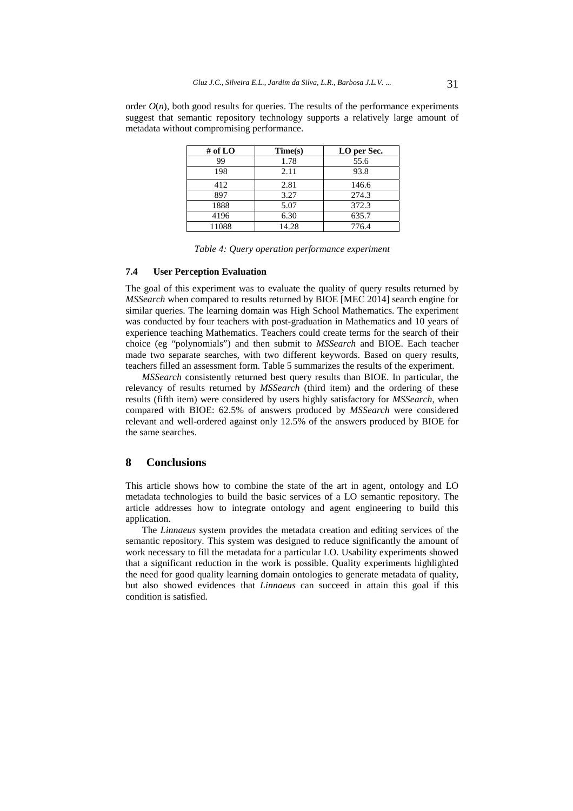order  $O(n)$ , both good results for queries. The results of the performance experiments suggest that semantic repository technology supports a relatively large amount of metadata without compromising performance.

| # of $LO$ | Time(s) | LO per Sec. |
|-----------|---------|-------------|
| 99        | 1.78    | 55.6        |
| 198       | 2.11    | 93.8        |
| 412       | 2.81    | 146.6       |
| 897       | 3.27    | 274.3       |
| 1888      | 5.07    | 372.3       |
| 4196      | 6.30    | 635.7       |
| 11088     | 14.28   | 776.4       |

*Table 4: Query operation performance experiment*

### **7.4 User Perception Evaluation**

The goal of this experiment was to evaluate the quality of query results returned by *MSSearch* when compared to results returned by BIOE [MEC 2014] search engine for similar queries. The learning domain was High School Mathematics. The experiment was conducted by four teachers with post-graduation in Mathematics and 10 years of experience teaching Mathematics. Teachers could create terms for the search of their choice (eg "polynomials") and then submit to *MSSearch* and BIOE. Each teacher made two separate searches, with two different keywords. Based on query results, teachers filled an assessment form. Table 5 summarizes the results of the experiment.

*MSSearch* consistently returned best query results than BIOE. In particular, the relevancy of results returned by *MSSearch* (third item) and the ordering of these results (fifth item) were considered by users highly satisfactory for *MSSearch*, when compared with BIOE: 62.5% of answers produced by *MSSearch* were considered relevant and well-ordered against only 12.5% of the answers produced by BIOE for the same searches.

# **8 Conclusions**

This article shows how to combine the state of the art in agent, ontology and LO metadata technologies to build the basic services of a LO semantic repository. The article addresses how to integrate ontology and agent engineering to build this application.

The *Linnaeus* system provides the metadata creation and editing services of the semantic repository. This system was designed to reduce significantly the amount of work necessary to fill the metadata for a particular LO. Usability experiments showed that a significant reduction in the work is possible. Quality experiments highlighted the need for good quality learning domain ontologies to generate metadata of quality, but also showed evidences that *Linnaeus* can succeed in attain this goal if this condition is satisfied.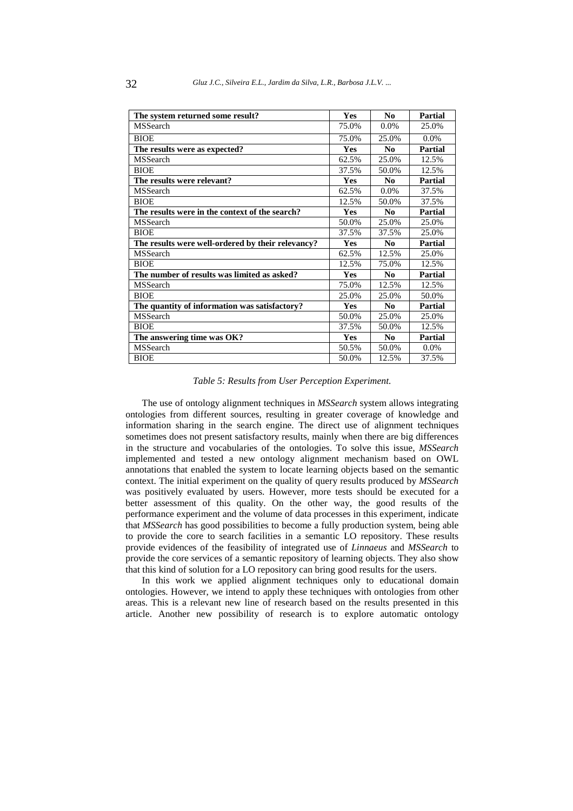| The system returned some result?                  | Yes        | N <sub>0</sub> | <b>Partial</b> |
|---------------------------------------------------|------------|----------------|----------------|
| <b>MSSearch</b>                                   | 75.0%      | $0.0\%$        | 25.0%          |
| <b>BIOE</b>                                       | 75.0%      | 25.0%          | $0.0\%$        |
| The results were as expected?                     | <b>Yes</b> | No             | Partial        |
| <b>MSSearch</b>                                   | 62.5%      | 25.0%          | 12.5%          |
| <b>BIOE</b>                                       | 37.5%      | 50.0%          | 12.5%          |
| The results were relevant?                        | <b>Yes</b> | N <sub>0</sub> | <b>Partial</b> |
| <b>MSSearch</b>                                   | 62.5%      | $0.0\%$        | 37.5%          |
| <b>BIOE</b>                                       | 12.5%      | 50.0%          | 37.5%          |
| The results were in the context of the search?    | <b>Yes</b> | N <sub>0</sub> | Partial        |
| MSSearch                                          | 50.0%      | 25.0%          | 25.0%          |
| <b>BIOE</b>                                       | 37.5%      | 37.5%          | 25.0%          |
| The results were well-ordered by their relevancy? | <b>Yes</b> | N <sub>0</sub> | Partial        |
| MSSearch                                          | 62.5%      | 12.5%          | 25.0%          |
| <b>BIOE</b>                                       | 12.5%      | 75.0%          | 12.5%          |
| The number of results was limited as asked?       | Yes        | N <sub>0</sub> | Partial        |
| MSSearch                                          | 75.0%      | 12.5%          | 12.5%          |
| <b>BIOE</b>                                       | 25.0%      | 25.0%          | 50.0%          |
| The quantity of information was satisfactory?     | <b>Yes</b> | N <sub>0</sub> | <b>Partial</b> |
| <b>MSSearch</b>                                   | 50.0%      | 25.0%          | 25.0%          |
| <b>BIOE</b>                                       | 37.5%      | 50.0%          | 12.5%          |
| The answering time was OK?                        | <b>Yes</b> | N <sub>0</sub> | <b>Partial</b> |
| MSSearch                                          | 50.5%      | 50.0%          | 0.0%           |
| <b>BIOE</b>                                       | 50.0%      | 12.5%          | 37.5%          |

#### *Table 5: Results from User Perception Experiment.*

The use of ontology alignment techniques in *MSSearch* system allows integrating ontologies from different sources, resulting in greater coverage of knowledge and information sharing in the search engine. The direct use of alignment techniques sometimes does not present satisfactory results, mainly when there are big differences in the structure and vocabularies of the ontologies. To solve this issue, *MSSearch* implemented and tested a new ontology alignment mechanism based on OWL annotations that enabled the system to locate learning objects based on the semantic context. The initial experiment on the quality of query results produced by *MSSearch* was positively evaluated by users. However, more tests should be executed for a better assessment of this quality. On the other way, the good results of the performance experiment and the volume of data processes in this experiment, indicate that *MSSearch* has good possibilities to become a fully production system, being able to provide the core to search facilities in a semantic LO repository. These results provide evidences of the feasibility of integrated use of *Linnaeus* and *MSSearch* to provide the core services of a semantic repository of learning objects. They also show that this kind of solution for a LO repository can bring good results for the users.

In this work we applied alignment techniques only to educational domain ontologies. However, we intend to apply these techniques with ontologies from other areas. This is a relevant new line of research based on the results presented in this article. Another new possibility of research is to explore automatic ontology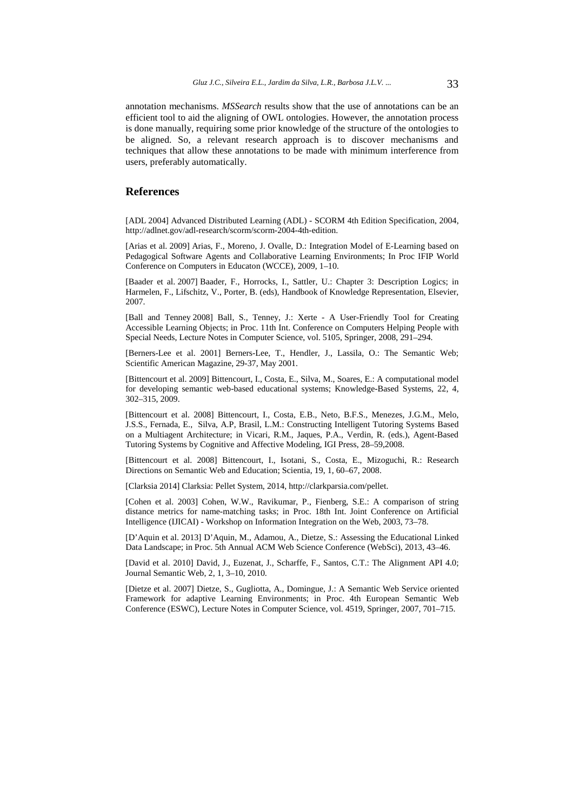annotation mechanisms. *MSSearch* results show that the use of annotations can be an efficient tool to aid the aligning of OWL ontologies. However, the annotation process is done manually, requiring some prior knowledge of the structure of the ontologies to be aligned. So, a relevant research approach is to discover mechanisms and techniques that allow these annotations to be made with minimum interference from users, preferably automatically.

### **References**

[ADL 2004] Advanced Distributed Learning (ADL) - SCORM 4th Edition Specification, 2004, http://adlnet.gov/adl-research/scorm/scorm-2004-4th-edition.

[Arias et al. 2009] Arias, F., Moreno, J. Ovalle, D.: Integration Model of E-Learning based on Pedagogical Software Agents and Collaborative Learning Environments; In Proc IFIP World Conference on Computers in Educaton (WCCE), 2009, 1–10.

[Baader et al. 2007] Baader, F., Horrocks, I., Sattler, U.: Chapter 3: Description Logics; in Harmelen, F., Lifschitz, V., Porter, B. (eds), Handbook of Knowledge Representation, Elsevier, 2007.

[Ball and Tenney 2008] Ball, S., Tenney, J.: Xerte - A User-Friendly Tool for Creating Accessible Learning Objects; in Proc. 11th Int. Conference on Computers Helping People with Special Needs, Lecture Notes in Computer Science, vol. 5105, Springer, 2008, 291–294.

[Berners-Lee et al. 2001] Berners-Lee, T., Hendler, J., Lassila, O.: The Semantic Web; Scientific American Magazine, 29-37, May 2001.

[Bittencourt et al. 2009] Bittencourt, I., Costa, E., Silva, M., Soares, E.: A computational model for developing semantic web-based educational systems; Knowledge-Based Systems, 22, 4, 302–315, 2009.

[Bittencourt et al. 2008] Bittencourt, I., Costa, E.B., Neto, B.F.S., Menezes, J.G.M., Melo, J.S.S., Fernada, E., Silva, A.P, Brasil, L.M.: Constructing Intelligent Tutoring Systems Based on a Multiagent Architecture; in Vicari, R.M., Jaques, P.A., Verdin, R. (eds.), Agent-Based Tutoring Systems by Cognitive and Affective Modeling, IGI Press, 28–59,2008.

[Bittencourt et al. 2008] Bittencourt, I., Isotani, S., Costa, E., Mizoguchi, R.: Research Directions on Semantic Web and Education; Scientia, 19, 1, 60–67, 2008.

[Clarksia 2014] Clarksia: Pellet System, 2014, http://clarkparsia.com/pellet.

[Cohen et al. 2003] Cohen, W.W., Ravikumar, P., Fienberg, S.E.: A comparison of string distance metrics for name-matching tasks; in Proc. 18th Int. Joint Conference on Artificial Intelligence (IJICAI) - Workshop on Information Integration on the Web, 2003, 73–78.

[D'Aquin et al. 2013] D'Aquin, M., Adamou, A., Dietze, S.: Assessing the Educational Linked Data Landscape; in Proc. 5th Annual ACM Web Science Conference (WebSci), 2013, 43–46.

[David et al. 2010] David, J., Euzenat, J., Scharffe, F., Santos, C.T.: The Alignment API 4.0; Journal Semantic Web, 2, 1, 3–10, 2010.

[Dietze et al. 2007] Dietze, S., Gugliotta, A., Domingue, J.: A Semantic Web Service oriented Framework for adaptive Learning Environments; in Proc. 4th European Semantic Web Conference (ESWC), Lecture Notes in Computer Science, vol. 4519, Springer, 2007, 701–715.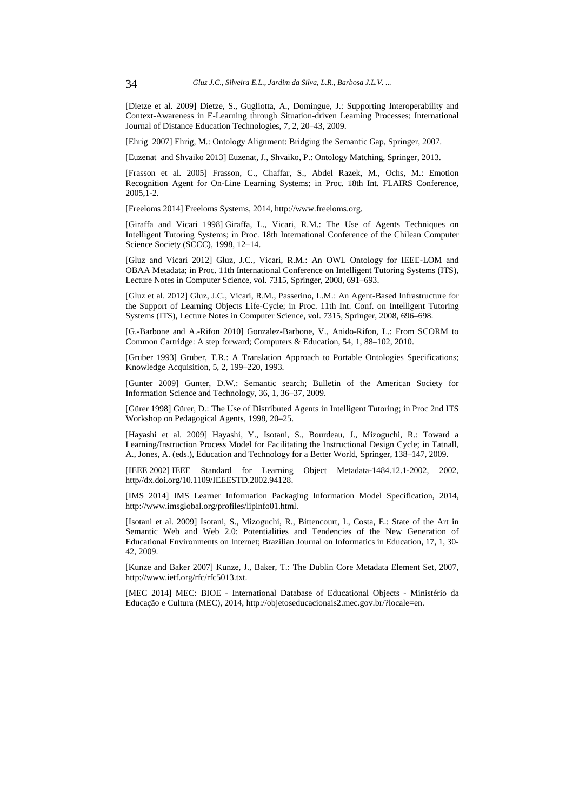[Dietze et al. 2009] Dietze, S., Gugliotta, A., Domingue, J.: Supporting Interoperability and Context-Awareness in E-Learning through Situation-driven Learning Processes; International Journal of Distance Education Technologies, 7, 2, 20–43, 2009.

[Ehrig 2007] Ehrig, M.: Ontology Alignment: Bridging the Semantic Gap, Springer, 2007.

[Euzenat and Shvaiko 2013] Euzenat, J., Shvaiko, P.: Ontology Matching, Springer, 2013.

[Frasson et al. 2005] Frasson, C., Chaffar, S., Abdel Razek, M., Ochs, M.: Emotion Recognition Agent for On-Line Learning Systems; in Proc. 18th Int. FLAIRS Conference, 2005,1-2.

[Freeloms 2014] Freeloms Systems, 2014, http://www.freeloms.org.

[Giraffa and Vicari 1998] Giraffa, L., Vicari, R.M.: The Use of Agents Techniques on Intelligent Tutoring Systems; in Proc. 18th International Conference of the Chilean Computer Science Society (SCCC), 1998, 12–14.

[Gluz and Vicari 2012] Gluz, J.C., Vicari, R.M.: An OWL Ontology for IEEE-LOM and OBAA Metadata; in Proc. 11th International Conference on Intelligent Tutoring Systems (ITS), Lecture Notes in Computer Science, vol. 7315, Springer, 2008, 691–693.

[Gluz et al. 2012] Gluz, J.C., Vicari, R.M., Passerino, L.M.: An Agent-Based Infrastructure for the Support of Learning Objects Life-Cycle; in Proc. 11th Int. Conf. on Intelligent Tutoring Systems (ITS), Lecture Notes in Computer Science, vol. 7315, Springer, 2008, 696–698.

[G.-Barbone and A.-Rifon 2010] Gonzalez-Barbone, V., Anido-Rifon, L.: From SCORM to Common Cartridge: A step forward; Computers & Education, 54, 1, 88–102, 2010.

[Gruber 1993] Gruber, T.R.: A Translation Approach to Portable Ontologies Specifications; Knowledge Acquisition, 5, 2, 199–220, 1993.

[Gunter 2009] Gunter, D.W.: Semantic search; Bulletin of the American Society for Information Science and Technology, 36, 1, 36–37, 2009.

[Gürer 1998] Gürer, D.: The Use of Distributed Agents in Intelligent Tutoring; in Proc 2nd ITS Workshop on Pedagogical Agents, 1998, 20–25.

[Hayashi et al. 2009] Hayashi, Y., Isotani, S., Bourdeau, J., Mizoguchi, R.: Toward a Learning/Instruction Process Model for Facilitating the Instructional Design Cycle; in Tatnall, A., Jones, A. (eds.), Education and Technology for a Better World, Springer, 138–147, 2009.

[IEEE 2002] IEEE Standard for Learning Object Metadata-1484.12.1-2002, 2002, http//dx.doi.org/10.1109/IEEESTD.2002.94128.

[IMS 2014] IMS Learner Information Packaging Information Model Specification, 2014, http://www.imsglobal.org/profiles/lipinfo01.html.

[Isotani et al. 2009] Isotani, S., Mizoguchi, R., Bittencourt, I., Costa, E.: State of the Art in Semantic Web and Web 2.0: Potentialities and Tendencies of the New Generation of Educational Environments on Internet; Brazilian Journal on Informatics in Education, 17, 1, 30- 42, 2009.

[Kunze and Baker 2007] Kunze, J., Baker, T.: The Dublin Core Metadata Element Set, 2007, http://www.ietf.org/rfc/rfc5013.txt.

[MEC 2014] MEC: BIOE - International Database of Educational Objects - Ministério da Educação e Cultura (MEC), 2014, http://objetoseducacionais2.mec.gov.br/?locale=en.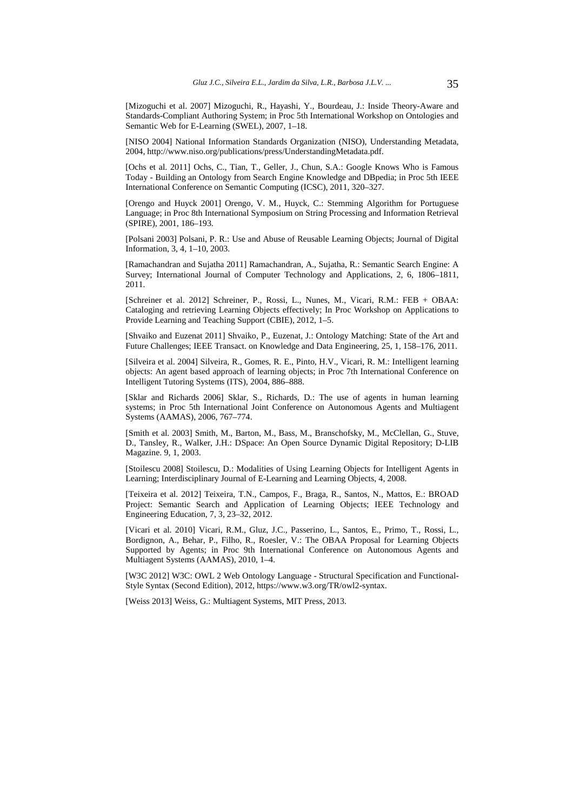[Mizoguchi et al. 2007] Mizoguchi, R., Hayashi, Y., Bourdeau, J.: Inside Theory-Aware and Standards-Compliant Authoring System; in Proc 5th International Workshop on Ontologies and Semantic Web for E-Learning (SWEL), 2007, 1–18.

[NISO 2004] National Information Standards Organization (NISO), Understanding Metadata, 2004, http://www.niso.org/publications/press/UnderstandingMetadata.pdf.

[Ochs et al. 2011] Ochs, C., Tian, T., Geller, J., Chun, S.A.: Google Knows Who is Famous Today - Building an Ontology from Search Engine Knowledge and DBpedia; in Proc 5th IEEE International Conference on Semantic Computing (ICSC), 2011, 320–327.

[Orengo and Huyck 2001] Orengo, V. M., Huyck, C.: Stemming Algorithm for Portuguese Language; in Proc 8th International Symposium on String Processing and Information Retrieval (SPIRE), 2001, 186–193.

[Polsani 2003] Polsani, P. R.: Use and Abuse of Reusable Learning Objects; Journal of Digital Information, 3, 4, 1–10, 2003.

[Ramachandran and Sujatha 2011] Ramachandran, A., Sujatha, R.: Semantic Search Engine: A Survey; International Journal of Computer Technology and Applications, 2, 6, 1806–1811, 2011.

[Schreiner et al. 2012] Schreiner, P., Rossi, L., Nunes, M., Vicari, R.M.: FEB + OBAA: Cataloging and retrieving Learning Objects effectively; In Proc Workshop on Applications to Provide Learning and Teaching Support (CBIE), 2012, 1–5.

[Shvaiko and Euzenat 2011] Shvaiko, P., Euzenat, J.: Ontology Matching: State of the Art and Future Challenges; IEEE Transact. on Knowledge and Data Engineering, 25, 1, 158–176, 2011.

[Silveira et al. 2004] Silveira, R., Gomes, R. E., Pinto, H.V., Vicari, R. M.: Intelligent learning objects: An agent based approach of learning objects; in Proc 7th International Conference on Intelligent Tutoring Systems (ITS), 2004, 886–888.

[Sklar and Richards 2006] Sklar, S., Richards, D.: The use of agents in human learning systems; in Proc 5th International Joint Conference on Autonomous Agents and Multiagent Systems (AAMAS), 2006, 767–774.

[Smith et al. 2003] Smith, M., Barton, M., Bass, M., Branschofsky, M., McClellan, G., Stuve, D., Tansley, R., Walker, J.H.: DSpace: An Open Source Dynamic Digital Repository; D-LIB Magazine. 9, 1, 2003.

[Stoilescu 2008] Stoilescu, D.: Modalities of Using Learning Objects for Intelligent Agents in Learning; Interdisciplinary Journal of E-Learning and Learning Objects, 4, 2008.

[Teixeira et al. 2012] Teixeira, T.N., Campos, F., Braga, R., Santos, N., Mattos, E.: BROAD Project: Semantic Search and Application of Learning Objects; IEEE Technology and Engineering Education, 7, 3, 23–32, 2012.

[Vicari et al. 2010] Vicari, R.M., Gluz, J.C., Passerino, L., Santos, E., Primo, T., Rossi, L., Bordignon, A., Behar, P., Filho, R., Roesler, V.: The OBAA Proposal for Learning Objects Supported by Agents; in Proc 9th International Conference on Autonomous Agents and Multiagent Systems (AAMAS), 2010, 1–4.

[W3C 2012] W3C: OWL 2 Web Ontology Language - Structural Specification and Functional-Style Syntax (Second Edition), 2012, https://www.w3.org/TR/owl2-syntax.

[Weiss 2013] Weiss, G.: Multiagent Systems, MIT Press, 2013.